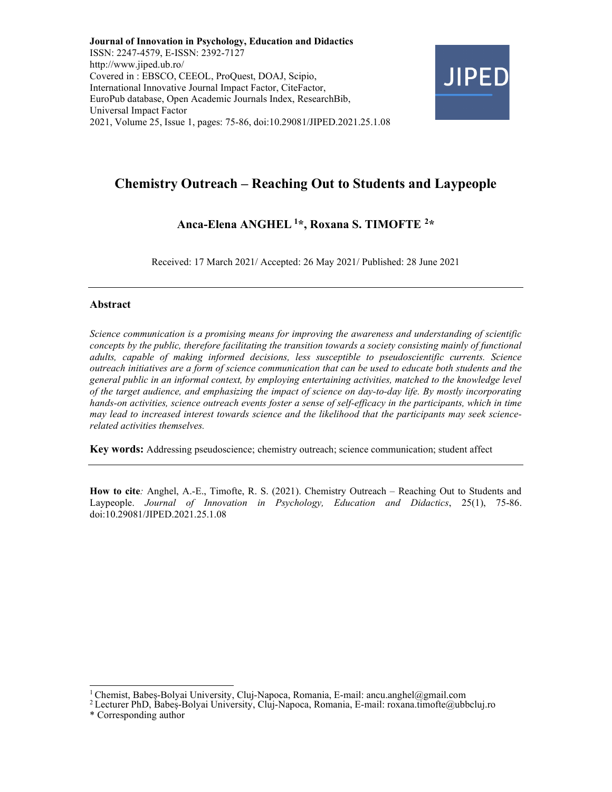Journal of Innovation in Psychology, Education and Didactics ISSN: 2247-4579, E-ISSN: 2392-7127 http://www.jiped.ub.ro/ Covered in : EBSCO, CEEOL, ProQuest, DOAJ, Scipio, International Innovative Journal Impact Factor, CiteFactor, EuroPub database, Open Academic Journals Index, ResearchBib, Universal Impact Factor 2021, Volume 25, Issue 1, pages: 75-86, doi:10.29081/JIPED.2021.25.1.08



# Chemistry Outreach – Reaching Out to Students and Laypeople

## Anca-Elena ANGHEL<sup>1\*</sup>, Roxana S. TIMOFTE<sup>2\*</sup>

Received: 17 March 2021/ Accepted: 26 May 2021/ Published: 28 June 2021

#### Abstract

Science communication is a promising means for improving the awareness and understanding of scientific concepts by the public, therefore facilitating the transition towards a society consisting mainly of functional adults, capable of making informed decisions, less susceptible to pseudoscientific currents. Science outreach initiatives are a form of science communication that can be used to educate both students and the general public in an informal context, by employing entertaining activities, matched to the knowledge level of the target audience, and emphasizing the impact of science on day-to-day life. By mostly incorporating hands-on activities, science outreach events foster a sense of self-efficacy in the participants, which in time may lead to increased interest towards science and the likelihood that the participants may seek sciencerelated activities themselves.

Key words: Addressing pseudoscience; chemistry outreach; science communication; student affect

How to cite: Anghel, A.-E., Timofte, R. S. (2021). Chemistry Outreach – Reaching Out to Students and Laypeople. Journal of Innovation in Psychology, Education and Didactics, 25(1), 75-86. doi:10.29081/JIPED.2021.25.1.08

<sup>&</sup>lt;sup>1</sup> Chemist, Babeș-Bolyai University, Cluj-Napoca, Romania, E-mail: ancu.anghel@gmail.com

<sup>2</sup>Lecturer PhD, Babeș-Bolyai University, Cluj-Napoca, Romania, E-mail: roxana.timofte@ubbcluj.ro \* Corresponding author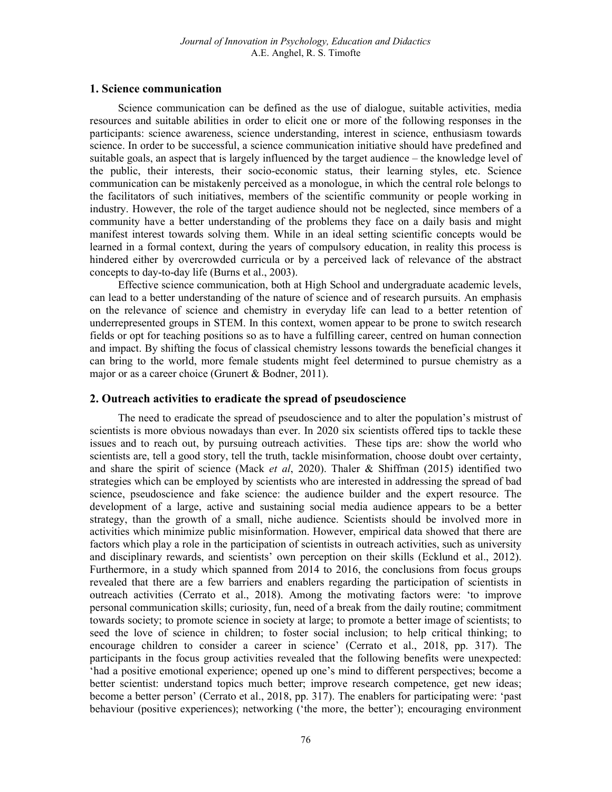## 1. Science communication

Science communication can be defined as the use of dialogue, suitable activities, media resources and suitable abilities in order to elicit one or more of the following responses in the participants: science awareness, science understanding, interest in science, enthusiasm towards science. In order to be successful, a science communication initiative should have predefined and suitable goals, an aspect that is largely influenced by the target audience – the knowledge level of the public, their interests, their socio-economic status, their learning styles, etc. Science communication can be mistakenly perceived as a monologue, in which the central role belongs to the facilitators of such initiatives, members of the scientific community or people working in industry. However, the role of the target audience should not be neglected, since members of a community have a better understanding of the problems they face on a daily basis and might manifest interest towards solving them. While in an ideal setting scientific concepts would be learned in a formal context, during the years of compulsory education, in reality this process is hindered either by overcrowded curricula or by a perceived lack of relevance of the abstract concepts to day-to-day life (Burns et al., 2003).

Effective science communication, both at High School and undergraduate academic levels, can lead to a better understanding of the nature of science and of research pursuits. An emphasis on the relevance of science and chemistry in everyday life can lead to a better retention of underrepresented groups in STEM. In this context, women appear to be prone to switch research fields or opt for teaching positions so as to have a fulfilling career, centred on human connection and impact. By shifting the focus of classical chemistry lessons towards the beneficial changes it can bring to the world, more female students might feel determined to pursue chemistry as a major or as a career choice (Grunert & Bodner, 2011).

## 2. Outreach activities to eradicate the spread of pseudoscience

The need to eradicate the spread of pseudoscience and to alter the population's mistrust of scientists is more obvious nowadays than ever. In 2020 six scientists offered tips to tackle these issues and to reach out, by pursuing outreach activities. These tips are: show the world who scientists are, tell a good story, tell the truth, tackle misinformation, choose doubt over certainty, and share the spirit of science (Mack et al, 2020). Thaler & Shiffman (2015) identified two strategies which can be employed by scientists who are interested in addressing the spread of bad science, pseudoscience and fake science: the audience builder and the expert resource. The development of a large, active and sustaining social media audience appears to be a better strategy, than the growth of a small, niche audience. Scientists should be involved more in activities which minimize public misinformation. However, empirical data showed that there are factors which play a role in the participation of scientists in outreach activities, such as university and disciplinary rewards, and scientists' own perception on their skills (Ecklund et al., 2012). Furthermore, in a study which spanned from 2014 to 2016, the conclusions from focus groups revealed that there are a few barriers and enablers regarding the participation of scientists in outreach activities (Cerrato et al., 2018). Among the motivating factors were: 'to improve personal communication skills; curiosity, fun, need of a break from the daily routine; commitment towards society; to promote science in society at large; to promote a better image of scientists; to seed the love of science in children; to foster social inclusion; to help critical thinking; to encourage children to consider a career in science' (Cerrato et al., 2018, pp. 317). The participants in the focus group activities revealed that the following benefits were unexpected: 'had a positive emotional experience; opened up one's mind to different perspectives; become a better scientist: understand topics much better; improve research competence, get new ideas; become a better person' (Cerrato et al., 2018, pp. 317). The enablers for participating were: 'past behaviour (positive experiences); networking ('the more, the better'); encouraging environment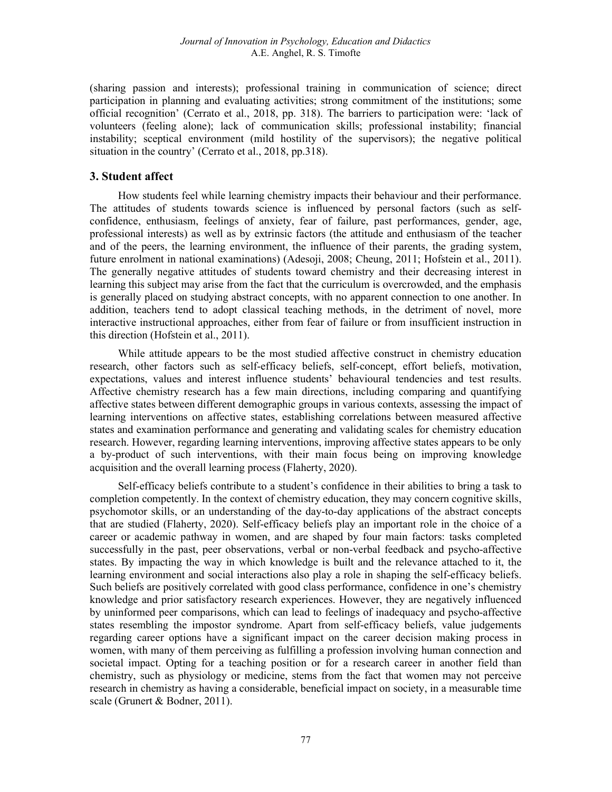(sharing passion and interests); professional training in communication of science; direct participation in planning and evaluating activities; strong commitment of the institutions; some official recognition' (Cerrato et al., 2018, pp. 318). The barriers to participation were: 'lack of volunteers (feeling alone); lack of communication skills; professional instability; financial instability; sceptical environment (mild hostility of the supervisors); the negative political situation in the country' (Cerrato et al., 2018, pp.318).

#### 3. Student affect

How students feel while learning chemistry impacts their behaviour and their performance. The attitudes of students towards science is influenced by personal factors (such as selfconfidence, enthusiasm, feelings of anxiety, fear of failure, past performances, gender, age, professional interests) as well as by extrinsic factors (the attitude and enthusiasm of the teacher and of the peers, the learning environment, the influence of their parents, the grading system, future enrolment in national examinations) (Adesoji, 2008; Cheung, 2011; Hofstein et al., 2011). The generally negative attitudes of students toward chemistry and their decreasing interest in learning this subject may arise from the fact that the curriculum is overcrowded, and the emphasis is generally placed on studying abstract concepts, with no apparent connection to one another. In addition, teachers tend to adopt classical teaching methods, in the detriment of novel, more interactive instructional approaches, either from fear of failure or from insufficient instruction in this direction (Hofstein et al., 2011).

While attitude appears to be the most studied affective construct in chemistry education research, other factors such as self-efficacy beliefs, self-concept, effort beliefs, motivation, expectations, values and interest influence students' behavioural tendencies and test results. Affective chemistry research has a few main directions, including comparing and quantifying affective states between different demographic groups in various contexts, assessing the impact of learning interventions on affective states, establishing correlations between measured affective states and examination performance and generating and validating scales for chemistry education research. However, regarding learning interventions, improving affective states appears to be only a by-product of such interventions, with their main focus being on improving knowledge acquisition and the overall learning process (Flaherty, 2020).

Self-efficacy beliefs contribute to a student's confidence in their abilities to bring a task to completion competently. In the context of chemistry education, they may concern cognitive skills, psychomotor skills, or an understanding of the day-to-day applications of the abstract concepts that are studied (Flaherty, 2020). Self-efficacy beliefs play an important role in the choice of a career or academic pathway in women, and are shaped by four main factors: tasks completed successfully in the past, peer observations, verbal or non-verbal feedback and psycho-affective states. By impacting the way in which knowledge is built and the relevance attached to it, the learning environment and social interactions also play a role in shaping the self-efficacy beliefs. Such beliefs are positively correlated with good class performance, confidence in one's chemistry knowledge and prior satisfactory research experiences. However, they are negatively influenced by uninformed peer comparisons, which can lead to feelings of inadequacy and psycho-affective states resembling the impostor syndrome. Apart from self-efficacy beliefs, value judgements regarding career options have a significant impact on the career decision making process in women, with many of them perceiving as fulfilling a profession involving human connection and societal impact. Opting for a teaching position or for a research career in another field than chemistry, such as physiology or medicine, stems from the fact that women may not perceive research in chemistry as having a considerable, beneficial impact on society, in a measurable time scale (Grunert & Bodner, 2011).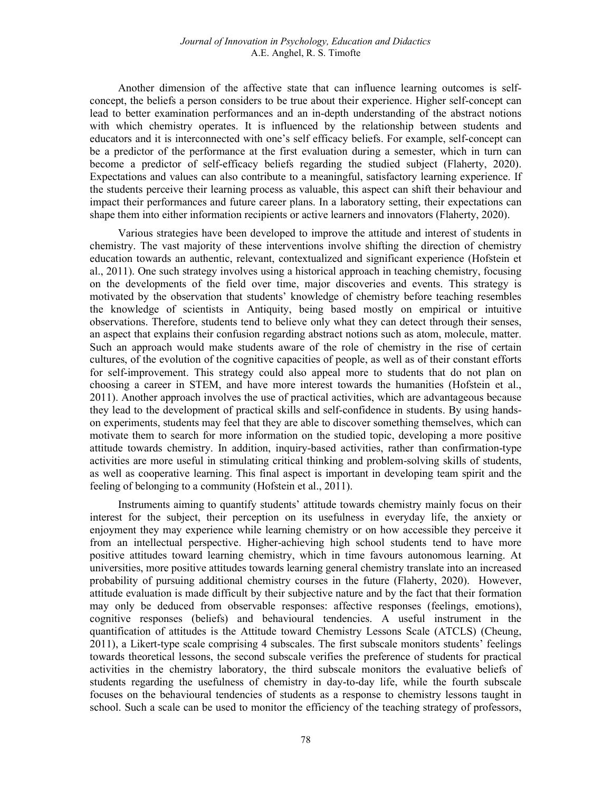Another dimension of the affective state that can influence learning outcomes is selfconcept, the beliefs a person considers to be true about their experience. Higher self-concept can lead to better examination performances and an in-depth understanding of the abstract notions with which chemistry operates. It is influenced by the relationship between students and educators and it is interconnected with one's self efficacy beliefs. For example, self-concept can be a predictor of the performance at the first evaluation during a semester, which in turn can become a predictor of self-efficacy beliefs regarding the studied subject (Flaherty, 2020). Expectations and values can also contribute to a meaningful, satisfactory learning experience. If the students perceive their learning process as valuable, this aspect can shift their behaviour and impact their performances and future career plans. In a laboratory setting, their expectations can shape them into either information recipients or active learners and innovators (Flaherty, 2020).

Various strategies have been developed to improve the attitude and interest of students in chemistry. The vast majority of these interventions involve shifting the direction of chemistry education towards an authentic, relevant, contextualized and significant experience (Hofstein et al., 2011). One such strategy involves using a historical approach in teaching chemistry, focusing on the developments of the field over time, major discoveries and events. This strategy is motivated by the observation that students' knowledge of chemistry before teaching resembles the knowledge of scientists in Antiquity, being based mostly on empirical or intuitive observations. Therefore, students tend to believe only what they can detect through their senses, an aspect that explains their confusion regarding abstract notions such as atom, molecule, matter. Such an approach would make students aware of the role of chemistry in the rise of certain cultures, of the evolution of the cognitive capacities of people, as well as of their constant efforts for self-improvement. This strategy could also appeal more to students that do not plan on choosing a career in STEM, and have more interest towards the humanities (Hofstein et al., 2011). Another approach involves the use of practical activities, which are advantageous because they lead to the development of practical skills and self-confidence in students. By using handson experiments, students may feel that they are able to discover something themselves, which can motivate them to search for more information on the studied topic, developing a more positive attitude towards chemistry. In addition, inquiry-based activities, rather than confirmation-type activities are more useful in stimulating critical thinking and problem-solving skills of students, as well as cooperative learning. This final aspect is important in developing team spirit and the feeling of belonging to a community (Hofstein et al., 2011).

Instruments aiming to quantify students' attitude towards chemistry mainly focus on their interest for the subject, their perception on its usefulness in everyday life, the anxiety or enjoyment they may experience while learning chemistry or on how accessible they perceive it from an intellectual perspective. Higher-achieving high school students tend to have more positive attitudes toward learning chemistry, which in time favours autonomous learning. At universities, more positive attitudes towards learning general chemistry translate into an increased probability of pursuing additional chemistry courses in the future (Flaherty, 2020). However, attitude evaluation is made difficult by their subjective nature and by the fact that their formation may only be deduced from observable responses: affective responses (feelings, emotions), cognitive responses (beliefs) and behavioural tendencies. A useful instrument in the quantification of attitudes is the Attitude toward Chemistry Lessons Scale (ATCLS) (Cheung, 2011), a Likert-type scale comprising 4 subscales. The first subscale monitors students' feelings towards theoretical lessons, the second subscale verifies the preference of students for practical activities in the chemistry laboratory, the third subscale monitors the evaluative beliefs of students regarding the usefulness of chemistry in day-to-day life, while the fourth subscale focuses on the behavioural tendencies of students as a response to chemistry lessons taught in school. Such a scale can be used to monitor the efficiency of the teaching strategy of professors,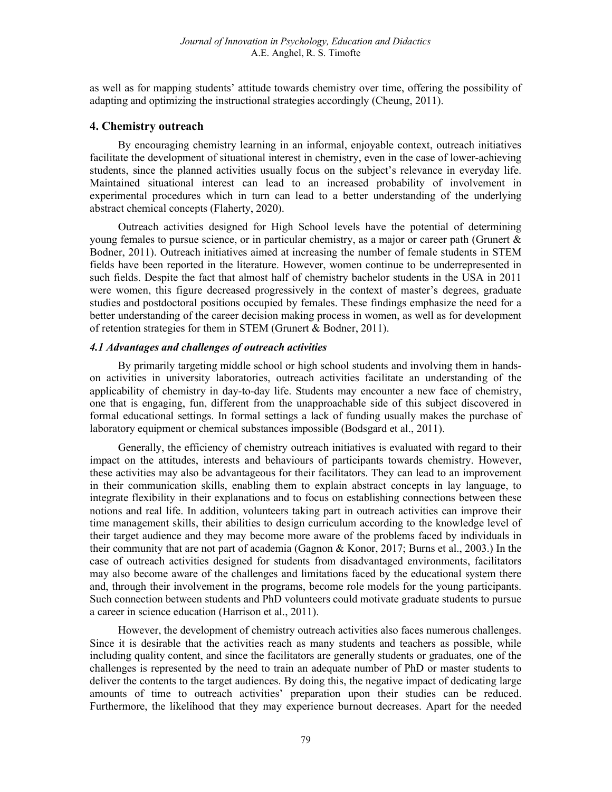as well as for mapping students' attitude towards chemistry over time, offering the possibility of adapting and optimizing the instructional strategies accordingly (Cheung, 2011).

## 4. Chemistry outreach

By encouraging chemistry learning in an informal, enjoyable context, outreach initiatives facilitate the development of situational interest in chemistry, even in the case of lower-achieving students, since the planned activities usually focus on the subject's relevance in everyday life. Maintained situational interest can lead to an increased probability of involvement in experimental procedures which in turn can lead to a better understanding of the underlying abstract chemical concepts (Flaherty, 2020).

Outreach activities designed for High School levels have the potential of determining young females to pursue science, or in particular chemistry, as a major or career path (Grunert  $\&$ Bodner, 2011). Outreach initiatives aimed at increasing the number of female students in STEM fields have been reported in the literature. However, women continue to be underrepresented in such fields. Despite the fact that almost half of chemistry bachelor students in the USA in 2011 were women, this figure decreased progressively in the context of master's degrees, graduate studies and postdoctoral positions occupied by females. These findings emphasize the need for a better understanding of the career decision making process in women, as well as for development of retention strategies for them in STEM (Grunert & Bodner, 2011).

## 4.1 Advantages and challenges of outreach activities

By primarily targeting middle school or high school students and involving them in handson activities in university laboratories, outreach activities facilitate an understanding of the applicability of chemistry in day-to-day life. Students may encounter a new face of chemistry, one that is engaging, fun, different from the unapproachable side of this subject discovered in formal educational settings. In formal settings a lack of funding usually makes the purchase of laboratory equipment or chemical substances impossible (Bodsgard et al., 2011).

Generally, the efficiency of chemistry outreach initiatives is evaluated with regard to their impact on the attitudes, interests and behaviours of participants towards chemistry. However, these activities may also be advantageous for their facilitators. They can lead to an improvement in their communication skills, enabling them to explain abstract concepts in lay language, to integrate flexibility in their explanations and to focus on establishing connections between these notions and real life. In addition, volunteers taking part in outreach activities can improve their time management skills, their abilities to design curriculum according to the knowledge level of their target audience and they may become more aware of the problems faced by individuals in their community that are not part of academia (Gagnon & Konor, 2017; Burns et al., 2003.) In the case of outreach activities designed for students from disadvantaged environments, facilitators may also become aware of the challenges and limitations faced by the educational system there and, through their involvement in the programs, become role models for the young participants. Such connection between students and PhD volunteers could motivate graduate students to pursue a career in science education (Harrison et al., 2011).

However, the development of chemistry outreach activities also faces numerous challenges. Since it is desirable that the activities reach as many students and teachers as possible, while including quality content, and since the facilitators are generally students or graduates, one of the challenges is represented by the need to train an adequate number of PhD or master students to deliver the contents to the target audiences. By doing this, the negative impact of dedicating large amounts of time to outreach activities' preparation upon their studies can be reduced. Furthermore, the likelihood that they may experience burnout decreases. Apart for the needed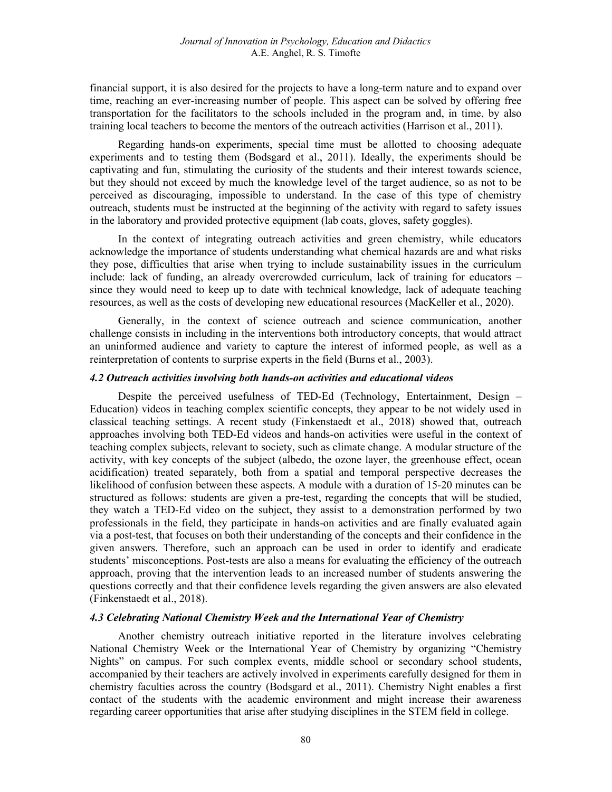financial support, it is also desired for the projects to have a long-term nature and to expand over time, reaching an ever-increasing number of people. This aspect can be solved by offering free transportation for the facilitators to the schools included in the program and, in time, by also training local teachers to become the mentors of the outreach activities (Harrison et al., 2011).

Regarding hands-on experiments, special time must be allotted to choosing adequate experiments and to testing them (Bodsgard et al., 2011). Ideally, the experiments should be captivating and fun, stimulating the curiosity of the students and their interest towards science, but they should not exceed by much the knowledge level of the target audience, so as not to be perceived as discouraging, impossible to understand. In the case of this type of chemistry outreach, students must be instructed at the beginning of the activity with regard to safety issues in the laboratory and provided protective equipment (lab coats, gloves, safety goggles).

In the context of integrating outreach activities and green chemistry, while educators acknowledge the importance of students understanding what chemical hazards are and what risks they pose, difficulties that arise when trying to include sustainability issues in the curriculum include: lack of funding, an already overcrowded curriculum, lack of training for educators – since they would need to keep up to date with technical knowledge, lack of adequate teaching resources, as well as the costs of developing new educational resources (MacKeller et al., 2020).

Generally, in the context of science outreach and science communication, another challenge consists in including in the interventions both introductory concepts, that would attract an uninformed audience and variety to capture the interest of informed people, as well as a reinterpretation of contents to surprise experts in the field (Burns et al., 2003).

#### 4.2 Outreach activities involving both hands-on activities and educational videos

Despite the perceived usefulness of TED-Ed (Technology, Entertainment, Design – Education) videos in teaching complex scientific concepts, they appear to be not widely used in classical teaching settings. A recent study (Finkenstaedt et al., 2018) showed that, outreach approaches involving both TED-Ed videos and hands-on activities were useful in the context of teaching complex subjects, relevant to society, such as climate change. A modular structure of the activity, with key concepts of the subject (albedo, the ozone layer, the greenhouse effect, ocean acidification) treated separately, both from a spatial and temporal perspective decreases the likelihood of confusion between these aspects. A module with a duration of 15-20 minutes can be structured as follows: students are given a pre-test, regarding the concepts that will be studied, they watch a TED-Ed video on the subject, they assist to a demonstration performed by two professionals in the field, they participate in hands-on activities and are finally evaluated again via a post-test, that focuses on both their understanding of the concepts and their confidence in the given answers. Therefore, such an approach can be used in order to identify and eradicate students' misconceptions. Post-tests are also a means for evaluating the efficiency of the outreach approach, proving that the intervention leads to an increased number of students answering the questions correctly and that their confidence levels regarding the given answers are also elevated (Finkenstaedt et al., 2018).

#### 4.3 Celebrating National Chemistry Week and the International Year of Chemistry

Another chemistry outreach initiative reported in the literature involves celebrating National Chemistry Week or the International Year of Chemistry by organizing "Chemistry Nights" on campus. For such complex events, middle school or secondary school students, accompanied by their teachers are actively involved in experiments carefully designed for them in chemistry faculties across the country (Bodsgard et al., 2011). Chemistry Night enables a first contact of the students with the academic environment and might increase their awareness regarding career opportunities that arise after studying disciplines in the STEM field in college.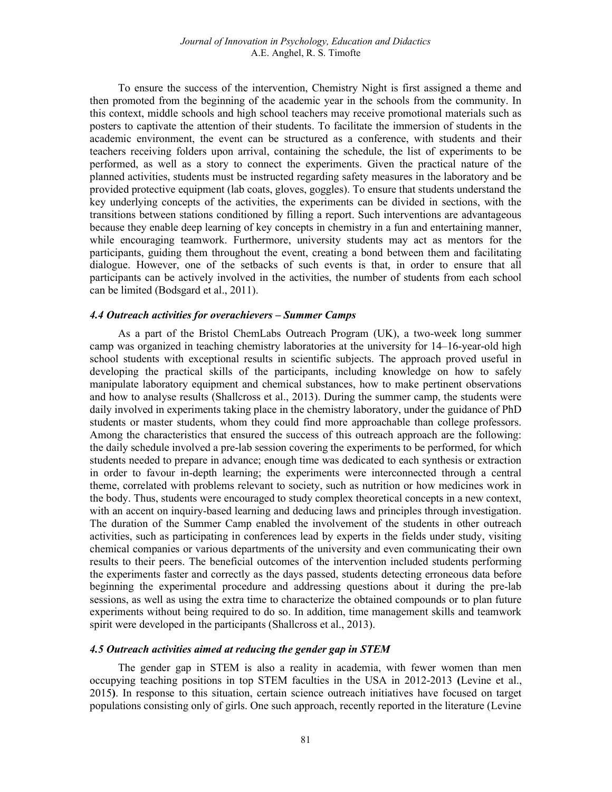To ensure the success of the intervention, Chemistry Night is first assigned a theme and then promoted from the beginning of the academic year in the schools from the community. In this context, middle schools and high school teachers may receive promotional materials such as posters to captivate the attention of their students. To facilitate the immersion of students in the academic environment, the event can be structured as a conference, with students and their teachers receiving folders upon arrival, containing the schedule, the list of experiments to be performed, as well as a story to connect the experiments. Given the practical nature of the planned activities, students must be instructed regarding safety measures in the laboratory and be provided protective equipment (lab coats, gloves, goggles). To ensure that students understand the key underlying concepts of the activities, the experiments can be divided in sections, with the transitions between stations conditioned by filling a report. Such interventions are advantageous because they enable deep learning of key concepts in chemistry in a fun and entertaining manner, while encouraging teamwork. Furthermore, university students may act as mentors for the participants, guiding them throughout the event, creating a bond between them and facilitating dialogue. However, one of the setbacks of such events is that, in order to ensure that all participants can be actively involved in the activities, the number of students from each school can be limited (Bodsgard et al., 2011).

## 4.4 Outreach activities for overachievers – Summer Camps

As a part of the Bristol ChemLabs Outreach Program (UK), a two-week long summer camp was organized in teaching chemistry laboratories at the university for 14–16-year-old high school students with exceptional results in scientific subjects. The approach proved useful in developing the practical skills of the participants, including knowledge on how to safely manipulate laboratory equipment and chemical substances, how to make pertinent observations and how to analyse results (Shallcross et al., 2013). During the summer camp, the students were daily involved in experiments taking place in the chemistry laboratory, under the guidance of PhD students or master students, whom they could find more approachable than college professors. Among the characteristics that ensured the success of this outreach approach are the following: the daily schedule involved a pre-lab session covering the experiments to be performed, for which students needed to prepare in advance; enough time was dedicated to each synthesis or extraction in order to favour in-depth learning; the experiments were interconnected through a central theme, correlated with problems relevant to society, such as nutrition or how medicines work in the body. Thus, students were encouraged to study complex theoretical concepts in a new context, with an accent on inquiry-based learning and deducing laws and principles through investigation. The duration of the Summer Camp enabled the involvement of the students in other outreach activities, such as participating in conferences lead by experts in the fields under study, visiting chemical companies or various departments of the university and even communicating their own results to their peers. The beneficial outcomes of the intervention included students performing the experiments faster and correctly as the days passed, students detecting erroneous data before beginning the experimental procedure and addressing questions about it during the pre-lab sessions, as well as using the extra time to characterize the obtained compounds or to plan future experiments without being required to do so. In addition, time management skills and teamwork spirit were developed in the participants (Shallcross et al., 2013).

#### 4.5 Outreach activities aimed at reducing the gender gap in STEM

The gender gap in STEM is also a reality in academia, with fewer women than men occupying teaching positions in top STEM faculties in the USA in 2012-2013 (Levine et al., 2015). In response to this situation, certain science outreach initiatives have focused on target populations consisting only of girls. One such approach, recently reported in the literature (Levine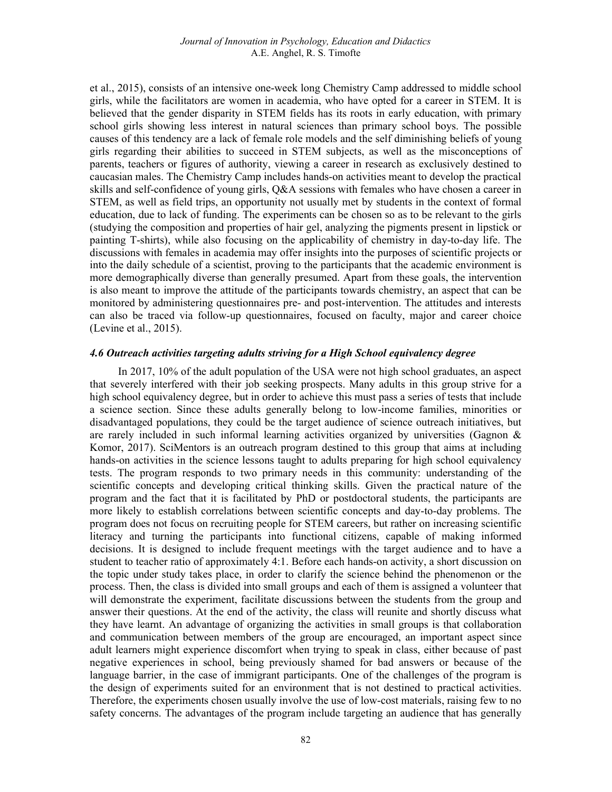et al., 2015), consists of an intensive one-week long Chemistry Camp addressed to middle school girls, while the facilitators are women in academia, who have opted for a career in STEM. It is believed that the gender disparity in STEM fields has its roots in early education, with primary school girls showing less interest in natural sciences than primary school boys. The possible causes of this tendency are a lack of female role models and the self diminishing beliefs of young girls regarding their abilities to succeed in STEM subjects, as well as the misconceptions of parents, teachers or figures of authority, viewing a career in research as exclusively destined to caucasian males. The Chemistry Camp includes hands-on activities meant to develop the practical skills and self-confidence of young girls, Q&A sessions with females who have chosen a career in STEM, as well as field trips, an opportunity not usually met by students in the context of formal education, due to lack of funding. The experiments can be chosen so as to be relevant to the girls (studying the composition and properties of hair gel, analyzing the pigments present in lipstick or painting T-shirts), while also focusing on the applicability of chemistry in day-to-day life. The discussions with females in academia may offer insights into the purposes of scientific projects or into the daily schedule of a scientist, proving to the participants that the academic environment is more demographically diverse than generally presumed. Apart from these goals, the intervention is also meant to improve the attitude of the participants towards chemistry, an aspect that can be monitored by administering questionnaires pre- and post-intervention. The attitudes and interests can also be traced via follow-up questionnaires, focused on faculty, major and career choice (Levine et al., 2015).

## 4.6 Outreach activities targeting adults striving for a High School equivalency degree

In 2017, 10% of the adult population of the USA were not high school graduates, an aspect that severely interfered with their job seeking prospects. Many adults in this group strive for a high school equivalency degree, but in order to achieve this must pass a series of tests that include a science section. Since these adults generally belong to low-income families, minorities or disadvantaged populations, they could be the target audience of science outreach initiatives, but are rarely included in such informal learning activities organized by universities (Gagnon & Komor, 2017). SciMentors is an outreach program destined to this group that aims at including hands-on activities in the science lessons taught to adults preparing for high school equivalency tests. The program responds to two primary needs in this community: understanding of the scientific concepts and developing critical thinking skills. Given the practical nature of the program and the fact that it is facilitated by PhD or postdoctoral students, the participants are more likely to establish correlations between scientific concepts and day-to-day problems. The program does not focus on recruiting people for STEM careers, but rather on increasing scientific literacy and turning the participants into functional citizens, capable of making informed decisions. It is designed to include frequent meetings with the target audience and to have a student to teacher ratio of approximately 4:1. Before each hands-on activity, a short discussion on the topic under study takes place, in order to clarify the science behind the phenomenon or the process. Then, the class is divided into small groups and each of them is assigned a volunteer that will demonstrate the experiment, facilitate discussions between the students from the group and answer their questions. At the end of the activity, the class will reunite and shortly discuss what they have learnt. An advantage of organizing the activities in small groups is that collaboration and communication between members of the group are encouraged, an important aspect since adult learners might experience discomfort when trying to speak in class, either because of past negative experiences in school, being previously shamed for bad answers or because of the language barrier, in the case of immigrant participants. One of the challenges of the program is the design of experiments suited for an environment that is not destined to practical activities. Therefore, the experiments chosen usually involve the use of low-cost materials, raising few to no safety concerns. The advantages of the program include targeting an audience that has generally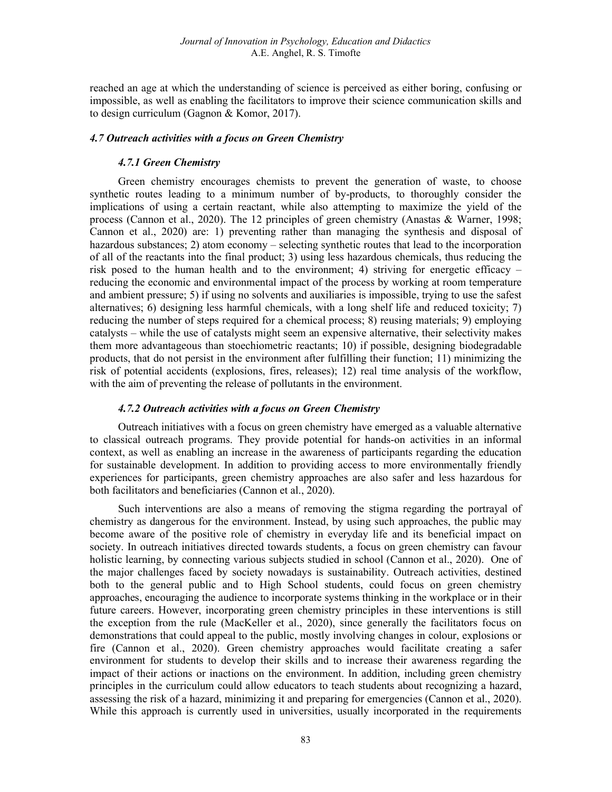reached an age at which the understanding of science is perceived as either boring, confusing or impossible, as well as enabling the facilitators to improve their science communication skills and to design curriculum (Gagnon & Komor, 2017).

#### 4.7 Outreach activities with a focus on Green Chemistry

#### 4.7.1 Green Chemistry

Green chemistry encourages chemists to prevent the generation of waste, to choose synthetic routes leading to a minimum number of by-products, to thoroughly consider the implications of using a certain reactant, while also attempting to maximize the yield of the process (Cannon et al., 2020). The 12 principles of green chemistry (Anastas & Warner, 1998; Cannon et al., 2020) are: 1) preventing rather than managing the synthesis and disposal of hazardous substances; 2) atom economy – selecting synthetic routes that lead to the incorporation of all of the reactants into the final product; 3) using less hazardous chemicals, thus reducing the risk posed to the human health and to the environment; 4) striving for energetic efficacy – reducing the economic and environmental impact of the process by working at room temperature and ambient pressure; 5) if using no solvents and auxiliaries is impossible, trying to use the safest alternatives; 6) designing less harmful chemicals, with a long shelf life and reduced toxicity; 7) reducing the number of steps required for a chemical process; 8) reusing materials; 9) employing catalysts – while the use of catalysts might seem an expensive alternative, their selectivity makes them more advantageous than stoechiometric reactants; 10) if possible, designing biodegradable products, that do not persist in the environment after fulfilling their function; 11) minimizing the risk of potential accidents (explosions, fires, releases); 12) real time analysis of the workflow, with the aim of preventing the release of pollutants in the environment.

## 4.7.2 Outreach activities with a focus on Green Chemistry

Outreach initiatives with a focus on green chemistry have emerged as a valuable alternative to classical outreach programs. They provide potential for hands-on activities in an informal context, as well as enabling an increase in the awareness of participants regarding the education for sustainable development. In addition to providing access to more environmentally friendly experiences for participants, green chemistry approaches are also safer and less hazardous for both facilitators and beneficiaries (Cannon et al., 2020).

Such interventions are also a means of removing the stigma regarding the portrayal of chemistry as dangerous for the environment. Instead, by using such approaches, the public may become aware of the positive role of chemistry in everyday life and its beneficial impact on society. In outreach initiatives directed towards students, a focus on green chemistry can favour holistic learning, by connecting various subjects studied in school (Cannon et al., 2020). One of the major challenges faced by society nowadays is sustainability. Outreach activities, destined both to the general public and to High School students, could focus on green chemistry approaches, encouraging the audience to incorporate systems thinking in the workplace or in their future careers. However, incorporating green chemistry principles in these interventions is still the exception from the rule (MacKeller et al., 2020), since generally the facilitators focus on demonstrations that could appeal to the public, mostly involving changes in colour, explosions or fire (Cannon et al., 2020). Green chemistry approaches would facilitate creating a safer environment for students to develop their skills and to increase their awareness regarding the impact of their actions or inactions on the environment. In addition, including green chemistry principles in the curriculum could allow educators to teach students about recognizing a hazard, assessing the risk of a hazard, minimizing it and preparing for emergencies (Cannon et al., 2020). While this approach is currently used in universities, usually incorporated in the requirements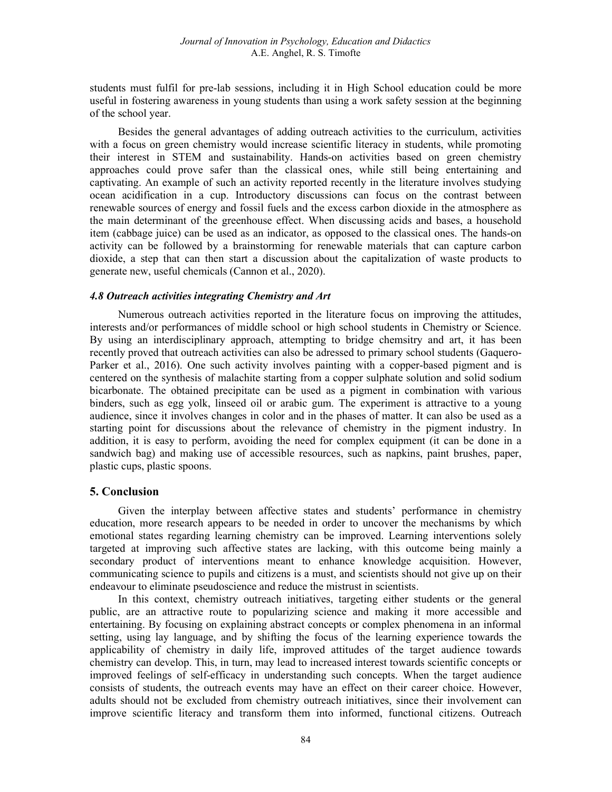students must fulfil for pre-lab sessions, including it in High School education could be more useful in fostering awareness in young students than using a work safety session at the beginning of the school year.

Besides the general advantages of adding outreach activities to the curriculum, activities with a focus on green chemistry would increase scientific literacy in students, while promoting their interest in STEM and sustainability. Hands-on activities based on green chemistry approaches could prove safer than the classical ones, while still being entertaining and captivating. An example of such an activity reported recently in the literature involves studying ocean acidification in a cup. Introductory discussions can focus on the contrast between renewable sources of energy and fossil fuels and the excess carbon dioxide in the atmosphere as the main determinant of the greenhouse effect. When discussing acids and bases, a household item (cabbage juice) can be used as an indicator, as opposed to the classical ones. The hands-on activity can be followed by a brainstorming for renewable materials that can capture carbon dioxide, a step that can then start a discussion about the capitalization of waste products to generate new, useful chemicals (Cannon et al., 2020).

#### 4.8 Outreach activities integrating Chemistry and Art

Numerous outreach activities reported in the literature focus on improving the attitudes, interests and/or performances of middle school or high school students in Chemistry or Science. By using an interdisciplinary approach, attempting to bridge chemsitry and art, it has been recently proved that outreach activities can also be adressed to primary school students (Gaquero-Parker et al., 2016). One such activity involves painting with a copper-based pigment and is centered on the synthesis of malachite starting from a copper sulphate solution and solid sodium bicarbonate. The obtained precipitate can be used as a pigment in combination with various binders, such as egg yolk, linseed oil or arabic gum. The experiment is attractive to a young audience, since it involves changes in color and in the phases of matter. It can also be used as a starting point for discussions about the relevance of chemistry in the pigment industry. In addition, it is easy to perform, avoiding the need for complex equipment (it can be done in a sandwich bag) and making use of accessible resources, such as napkins, paint brushes, paper, plastic cups, plastic spoons.

### 5. Conclusion

Given the interplay between affective states and students' performance in chemistry education, more research appears to be needed in order to uncover the mechanisms by which emotional states regarding learning chemistry can be improved. Learning interventions solely targeted at improving such affective states are lacking, with this outcome being mainly a secondary product of interventions meant to enhance knowledge acquisition. However, communicating science to pupils and citizens is a must, and scientists should not give up on their endeavour to eliminate pseudoscience and reduce the mistrust in scientists.

In this context, chemistry outreach initiatives, targeting either students or the general public, are an attractive route to popularizing science and making it more accessible and entertaining. By focusing on explaining abstract concepts or complex phenomena in an informal setting, using lay language, and by shifting the focus of the learning experience towards the applicability of chemistry in daily life, improved attitudes of the target audience towards chemistry can develop. This, in turn, may lead to increased interest towards scientific concepts or improved feelings of self-efficacy in understanding such concepts. When the target audience consists of students, the outreach events may have an effect on their career choice. However, adults should not be excluded from chemistry outreach initiatives, since their involvement can improve scientific literacy and transform them into informed, functional citizens. Outreach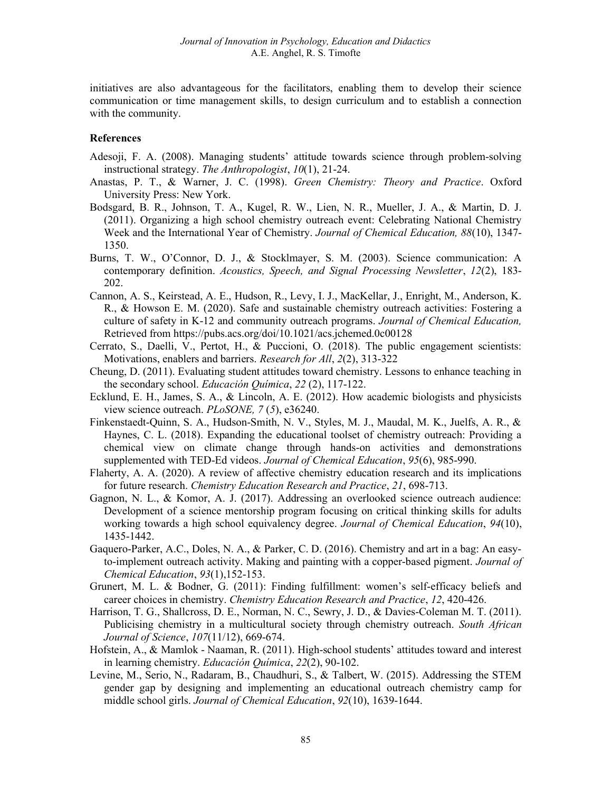initiatives are also advantageous for the facilitators, enabling them to develop their science communication or time management skills, to design curriculum and to establish a connection with the community.

#### References

- Adesoji, F. A. (2008). Managing students' attitude towards science through problem-solving instructional strategy. The Anthropologist, 10(1), 21-24.
- Anastas, P. T., & Warner, J. C. (1998). Green Chemistry: Theory and Practice. Oxford University Press: New York.
- Bodsgard, B. R., Johnson, T. A., Kugel, R. W., Lien, N. R., Mueller, J. A., & Martin, D. J. (2011). Organizing a high school chemistry outreach event: Celebrating National Chemistry Week and the International Year of Chemistry. Journal of Chemical Education, 88(10), 1347- 1350.
- Burns, T. W., O'Connor, D. J., & Stocklmayer, S. M. (2003). Science communication: A contemporary definition. Acoustics, Speech, and Signal Processing Newsletter, 12(2), 183- 202.
- Cannon, A. S., Keirstead, A. E., Hudson, R., Levy, I. J., MacKellar, J., Enright, M., Anderson, K. R., & Howson E. M. (2020). Safe and sustainable chemistry outreach activities: Fostering a culture of safety in K-12 and community outreach programs. Journal of Chemical Education, Retrieved from https://pubs.acs.org/doi/10.1021/acs.jchemed.0c00128
- Cerrato, S., Daelli, V., Pertot, H., & Puccioni, O. (2018). The public engagement scientists: Motivations, enablers and barriers. Research for All, 2(2), 313-322
- Cheung, D. (2011). Evaluating student attitudes toward chemistry. Lessons to enhance teaching in the secondary school. Educación Química, 22 (2), 117-122.
- Ecklund, E. H., James, S. A., & Lincoln, A. E. (2012). How academic biologists and physicists view science outreach. PLoSONE, 7 (5), e36240.
- Finkenstaedt-Quinn, S. A., Hudson-Smith, N. V., Styles, M. J., Maudal, M. K., Juelfs, A. R., & Haynes, C. L. (2018). Expanding the educational toolset of chemistry outreach: Providing a chemical view on climate change through hands-on activities and demonstrations supplemented with TED-Ed videos. Journal of Chemical Education, 95(6), 985-990.
- Flaherty, A. A. (2020). A review of affective chemistry education research and its implications for future research. Chemistry Education Research and Practice, 21, 698-713.
- Gagnon, N. L., & Komor, A. J. (2017). Addressing an overlooked science outreach audience: Development of a science mentorship program focusing on critical thinking skills for adults working towards a high school equivalency degree. Journal of Chemical Education, 94(10), 1435-1442.
- Gaquero-Parker, A.C., Doles, N. A., & Parker, C. D. (2016). Chemistry and art in a bag: An easyto-implement outreach activity. Making and painting with a copper-based pigment. Journal of Chemical Education, 93(1),152-153.
- Grunert, M. L. & Bodner, G. (2011): Finding fulfillment: women's self-efficacy beliefs and career choices in chemistry. Chemistry Education Research and Practice, 12, 420-426.
- Harrison, T. G., Shallcross, D. E., Norman, N. C., Sewry, J. D., & Davies-Coleman M. T. (2011). Publicising chemistry in a multicultural society through chemistry outreach. South African Journal of Science, 107(11/12), 669-674.
- Hofstein, A., & Mamlok Naaman, R. (2011). High-school students' attitudes toward and interest in learning chemistry. Educación Química, 22(2), 90-102.
- Levine, M., Serio, N., Radaram, B., Chaudhuri, S., & Talbert, W. (2015). Addressing the STEM gender gap by designing and implementing an educational outreach chemistry camp for middle school girls. Journal of Chemical Education, 92(10), 1639-1644.